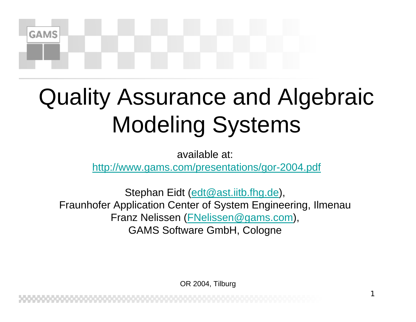# Quality Assurance and Algebraic Modeling Systems

**GAMS** 

available at:

<http://www.gams.com/presentations/gor-2004.pdf>

Stephan Eidt ([edt@ast.iitb.fhg.de](mailto:edt@ast.iitb.fhg.de)), Fraunhofer Application Center of System Engineering, Ilmenau Franz Nelissen ([FNelissen@gams.com](mailto:FNelissen@gams.com)), GAMS Software GmbH, Cologne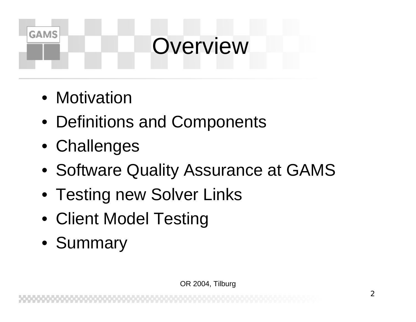### **Overview**

• Motivation

- Definitions and Components
- Challenges
- Software Quality Assurance at GAMS
- Testing new Solver Links
- Client Model Testing
- Summary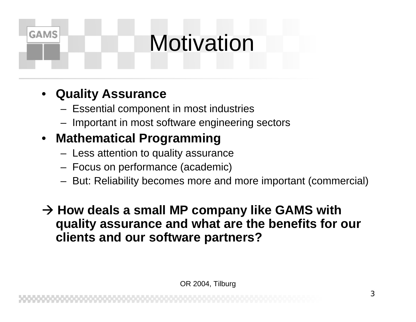## **Motivation**

### • **Quality Assurance**

**GAMS** 

- Essential component in most industries
- Important in most software engineering sectors

### • **Mathematical Programming**

- $-$  Less attention to quality assurance
- Focus on performance (academic)
- –But: Reliability becomes more and more important (commercial)

**→ How deals a small MP company like GAMS with quality assurance and what are the benefits for our clients and our software partners?**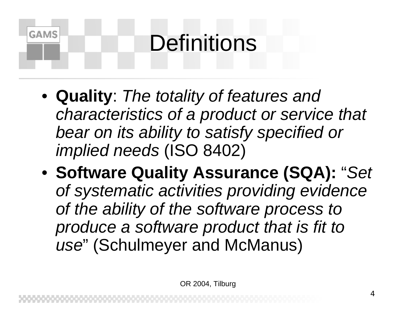## **Definitions**

- **Quality**: *The totality of features and characteristics of a product or service that bear on its ability to satisfy specified or implied needs* (ISO 8402)
- **Software Quality Assurance (SQA):** "*Set of systematic activities providing evidence of the ability of the software process to produce a software product that is fit to use*" (Schulmeyer and McManus)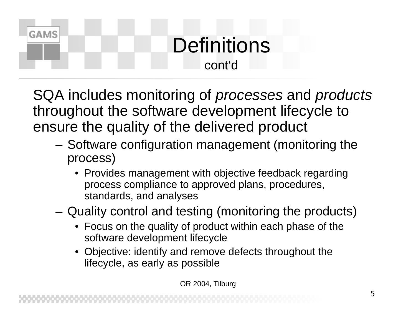### **Definitions** cont'd

SQA includes monitoring of *processes* and *products* throughout the software development lifecycle to ensure the quality of the delivered product

**GAMS** 

- –– Software configuration management (monitoring the process)
	- Provides management with objective feedback regarding process compliance to approved plans, procedures, standards, and analyses
- Quality control and testing (monitoring the products)
	- Focus on the quality of product within each phase of the software development lifecycle
	- Objective: identify and remove defects throughout the lifecycle, as early as possible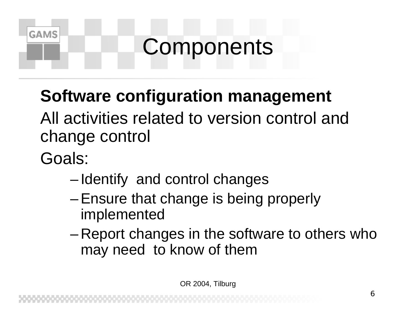## **Components**

### **Software configuration management**

All activities related to version control and change control

Goals:

- –- Identify and control changes
- –Ensure that change is being properly implemented
- – Report changes in the software to others who may need to know of them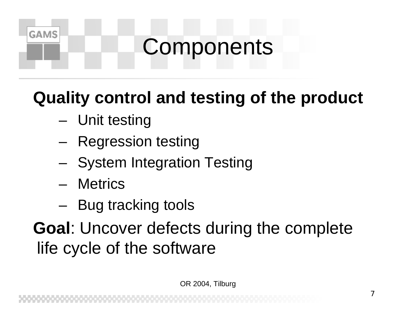## **Components**

### **Quality control and testing of the product**

- Unit testing
- – $-$  Regression testing
- –- System Integration Testing
- Metrics

**GAMS** 

–– Bug tracking tools

**Goal**: Uncover defects during the complete life cycle of the software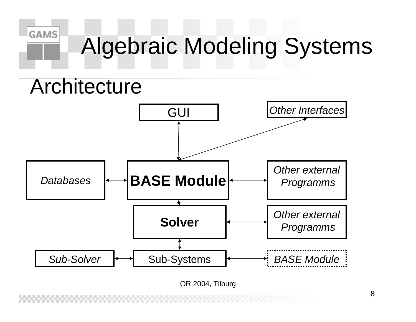## Algebraic Modeling Systems

### **Architecture**

**GAMS** 

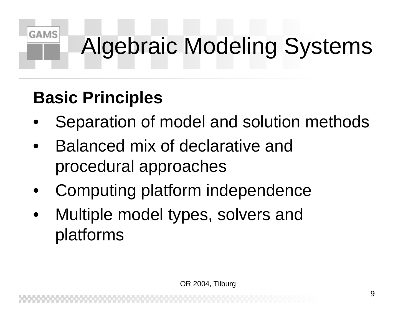## Algebraic Modeling Systems

### **Basic Principles**

- •Separation of model and solution methods
- • Balanced mix of declarative and procedural approaches
- •Computing platform independence
- • Multiple model types, solvers and platforms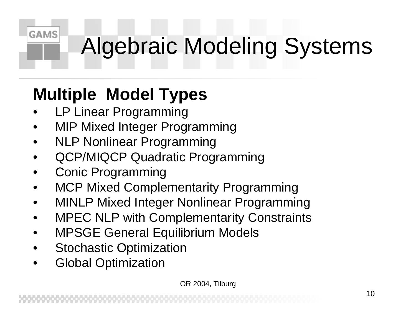## Algebraic Modeling Systems

### **Multiple Model Types**

•LP Linear Programming

- •MIP Mixed Integer Programming
- •NLP Nonlinear Programming
- •QCP/MIQCP Quadratic Programming
- •Conic Programming
- •MCP Mixed Complementarity Programming
- •MINLP Mixed Integer Nonlinear Programming
- •MPEC NLP with Complementarity Constraints
- •MPSGE General Equilibrium Models
- •Stochastic Optimization
- •Global Optimization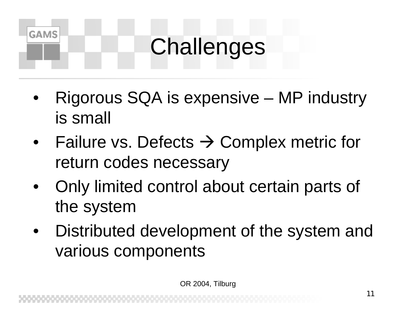## **Challenges**

- • Rigorous SQA is expensive – MP industry is small
- •● Failure vs. Defects → Complex metric for return codes necessary
- • Only limited control about certain parts of the system
- • Distributed development of the system and various components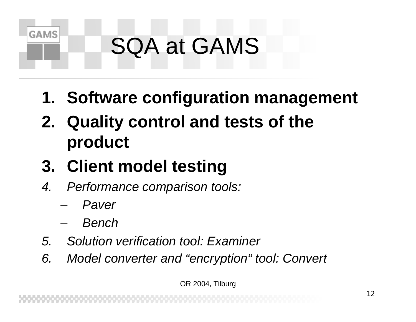## SQA at GAMS

- **1. Software configuration management**
- **2. Quality control and tests of the product**
- **3. Client model testing**
- *4. Performance comparison tools:*
	- and the state of the *Paver*

**GAMS** 

- and the state of the *Bench*
- *5. Solution verification tool: Examiner*
- *6. Model converter and "encryption" tool: Convert*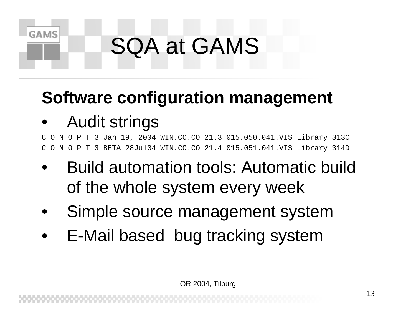## SQA at GAMS

### **Software configuration management**

#### •Audit strings

**GAMS** 

C O N O P T 3 Jan 19, 2004 WIN.CO.CO 21.3 015.050.041.VIS Library 313C C O N O P T 3 BETA 28Jul04 WIN.CO.CO 21.4 015.051.041.VIS Library 314D

- • Build automation tools: Automatic build of the whole system every week
- •Simple source management system
- •E-Mail based bug tracking system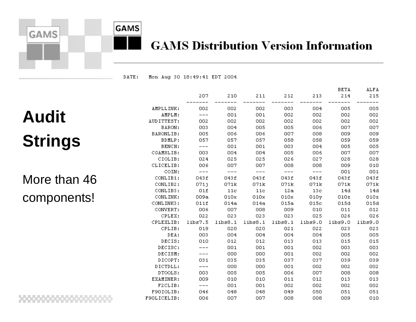

# **GAMS**

#### **GAMS Distribution Version Information**

DATE: Mon Aug 30 18:49:41 EDT 2004

### **Audit Strings**

More than 46 components!

|             |         |           |                 |       |                 | <b>BETA</b> | ALFA             |
|-------------|---------|-----------|-----------------|-------|-----------------|-------------|------------------|
|             | 207     | 210       | 211             | 212   | 213             | 214         | 215              |
| AMPLLINK:   | 002     | 002       | 002             | 003   | 004             | 005         | 005              |
| AMPLM:      | $---$   | 001       | 001             | 002   | 002             | 002         | 002              |
| AUDITTEST:  | 002     | 002       | 002             | 002   | 002             | 002         | 002              |
| BARON:      | 003     | 004       | 005             | 005   | 006             | 007         | 007              |
| BARONLIB:   | 005     | 006       | 006             | 007   | 008             | 009         | 009              |
| BDMLP:      | 057     | 057       | 057             | 058   | 058             | 059         | 059              |
| BENCH:      | $---$   | 001       | 001             | 003   | 004 -           | 005         | 005              |
| CGAMSLIB:   | 003     | 004       | 004             | 005   | 006 -           | 007         | 007              |
| CIOLIB:     | 024     | 025       | 025             | 026   | 027             | 028         | 028              |
| CLICELIB:   | 006     | 007       | 007             | 008   | 008             | 009         | 010              |
| COIN:       | $---$   | $---$     | $---$           | $---$ | $---$           | 001         | 001              |
| CONLIB1:    | 043f    | 043f      | 043f            | 043f  | 043f            | 043f        | 043f             |
| CONLIB2:    | 0711    | 071k      | 071k            | 071k  | 071k            | 071k        | 071 <sub>k</sub> |
| CONLIB3:    |         | $01f$ 11c | 11c             |       | 12a 13c 14d     |             | 14d              |
| CONLINK:    | 009a    | 010x      | 010x = 1        | 010x  | 010v            | 010z        | 010z             |
| CONLINK3:   | 011f    | 014a      | 014a            | 015a  | 015c            | 015d        | 015d             |
| CONVERT:    | 006     | - 007     | - 008           | - 009 | 010             | 011         | 012              |
| CPLEX:      | 022     | 023       | 023             | 023   | 025             | 026         | -026             |
| CPLEXLIB:   | libs7.5 |           | libs8.1 libs8.1 |       | libs8.1 libs9.0 | libs9.0     | $l$ ibs $9.0$    |
| CPLIB:      | 019     | 020       | 020             | 021   | 022             | 023         | 023              |
| DEA:        | 003     | 004       | 004             | 004   | 004             | 005         | 005              |
| DECIS:      | 010     | 012       | 012             | 013   | 013             | 015         | 015              |
| DECISC:     | $---$   | 001       | 001             | 001   | 002             | 003         | 003              |
| DECISM:     |         | 000       | 000             | 001   | 002             | 002         | 002              |
| DICOPT:     | 031     | 035       | 035             | 037   | 037             | 039         | 039              |
| DICTDLL:    |         | 000       | 000             | 001   | 002             | 002         | 002              |
| DTOOLS:     | 003     | 005       | 005             | 006   | 007.            | 008         | 008              |
| EXAMINER:   | 009     | 010       | 010             | 011   | 012             | 013         | 013              |
| F2CLIB:     | $---$   | 001       | 001             | 002   | 002             | 002         | 002              |
| F90IOLIB:   | 046     | 048       | 048             | 049   | 050             | 051         | 051              |
| F90LICELIB: | 006     | 007       | 007             | 008   | 008             | 009         | 010              |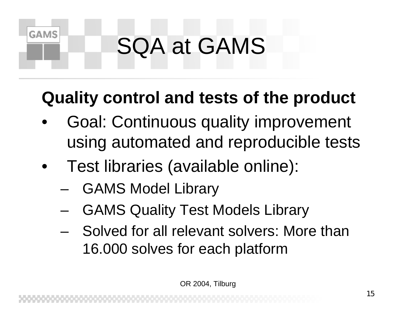## SQA at GAMS

### **Quality control and tests of the product**

- • Goal: Continuous quality improvement using automated and reproducible tests
- • Test libraries (available online):
	- –GAMS Model Library

- and the state of the state GAMS Quality Test Models Library
- Solved for all relevant solvers: More than 16.000 solves for each platform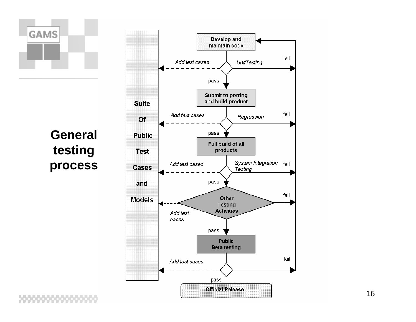

**General testing process**

,,,,,,,,,,,,,,,,,

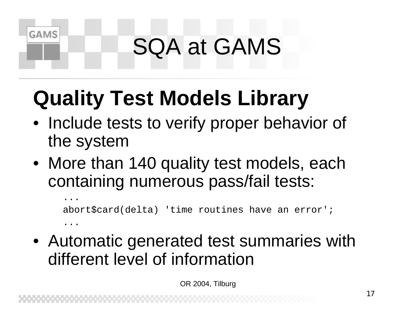## SQA at GAMS

### **Quality Test Models Library**

**GAMS** 

- Include tests to verify proper behavior of the system
- More than 140 quality test models, each containing numerous pass/fail tests:

...abort\$card(delta) 'time routines have an error'; ...

• Automatic generated test summaries with different level of information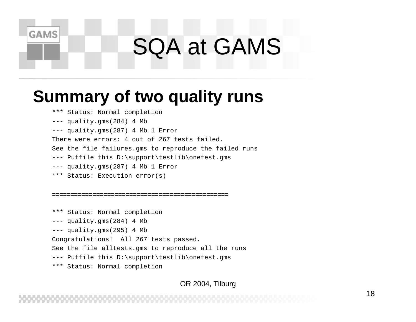### SQA at GAMS

### **Summary of two quality runs**

\*\*\* Status: Normal completion

--- quality.gms(284) 4 Mb

**GAMS** 

--- quality.gms(287) 4 Mb 1 Error

There were errors: 4 out of 267 tests failed.

See the file failures.gms to reproduce the failed runs

--- Putfile this D:\support\testlib\onetest.gms

- --- quality.gms(287) 4 Mb 1 Error
- \*\*\* Status: Execution error(s)

#### **================================================**

\*\*\* Status: Normal completion --- quality.gms(284) 4 Mb --- quality.gms(295) 4 Mb Congratulations! All 267 tests passed. See the file alltests.gms to reproduce all the runs --- Putfile this D:\support\testlib\onetest.gms \*\*\* Status: Normal completion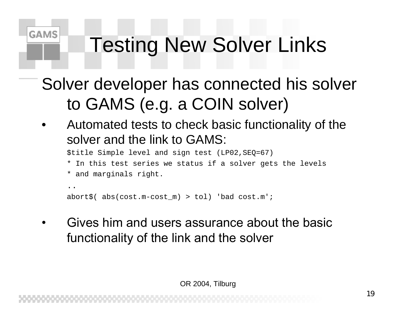### Testing New Solver Links

### Solver developer has connected his solver to GAMS (e.g. a COIN solver)

• Automated tests to check basic functionality of the solver and the link to GAMS:

\$title Simple level and sign test (LP02,SEQ=67)

- \* In this test series we status if a solver gets the levels
- \* and marginals right.

**GAMS** 

```
. .
abort$( abs(cost.m-cost_m) > tol) 'bad cost.m';
```
• Gives him and users assurance about the basic functionality of the link and the solver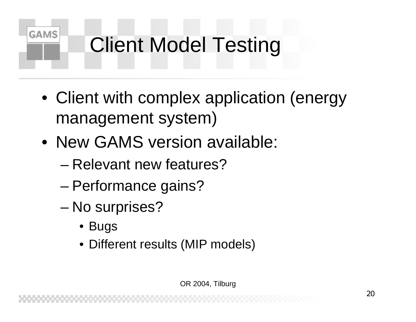- Client with complex application (energy management system)
- New GAMS version available:
	- Relevant new features?
	- and the state of the state – Performance gains?
	- and the state of the state – No surprises?
		- Bugs

**GAMS** 

• Different results (MIP models)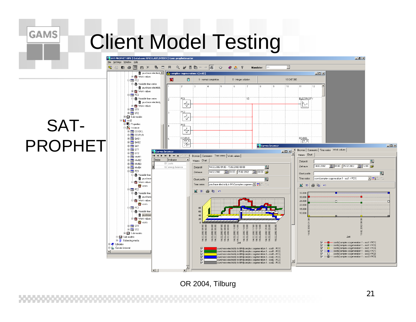**GAMS** 

#### IL SAT PROPHET RPS | Database: RPS31.AST.INTERN | User: prophetmaster  $-10$   $\times$ File Settings Window Help 数 各国国 X 名 H H Q # B h → 图  $\overline{\phantom{a}}$  $\bullet$  $\otimes$   $\circ$ Mandator: FPS  $\mathbf{C}$ The purchase electricity  $\left|\mathbf{e}\right|$  complex cogeneration 1 [scd2]  $\Box$ **E-23** Work values ×  $\mathbb{F}$ 161247.000  $\overline{\Box}$   $\overline{\Box}$  PC2 1 - normal completion 8 - integer solution □ 8 Variable time series Ŀ 12 ٠, ٠, .<br>a ÷9  $\overline{10}$  $\overline{11}$  $\overline{12}$ - 宿 purchase electricity **E-8** Work values 白圃 PC3 □ 6 Variable time series iy3 **ELECTRICITY** - 宿 purchase electricity  $\frac{1}{4}$ h. **E** Work values  $\overline{m}$  ST1  $\overline{m}$  ST2 **Ex Sub models**  $\overline{\overline{\mathbb{Q}}}$  $\overline{\Box}$  scd2 SAT-中**号** Properties 白入 Instance  $\frac{1}{\sqrt{2}}$ E-Imi EEXDEL  $\overline{\mathbb{F}}$  EEXPUR EEXDEL E-IIII GAS1 EEXPUF PROPHET陉  $\frac{1}{2}$   $\frac{1}{2}$  GAS2 **Il Curves browser**  $\Box$ D $\Box$ **E-mm** GA1  $\frac{1}{2}$  =  $\frac{1}{2}$  =  $\frac{1}{2}$  =  $\frac{1}{2}$  =  $\frac{1}{2}$  =  $\frac{1}{2}$  =  $\frac{1}{2}$  =  $\frac{1}{2}$  =  $\frac{1}{2}$  =  $\frac{1}{2}$  =  $\frac{1}{2}$  =  $\frac{1}{2}$  =  $\frac{1}{2}$  =  $\frac{1}{2}$  =  $\frac{1}{2}$  =  $\frac{1}{2}$  =  $\frac{1}{2}$  =  $\frac{1}{2}$  =  $\frac{1$ (Browser | Comments | Time series | Work values | **Il Curves browser**  $-10x$ **E** IIII GT2 Values Chart  $\mathbf{H} \mathbf{A} \mathbf{F} \mathbf{H} \mathbf{H} = \mathbf{A} \mathbf{A}$ (Browser | Comments | Time series | Work values |  $\frac{1}{1 + \frac{1}{2}}$  HWR1  $\sqrt{\int_0^{\pi}$ Indicator E-mil HWB2 Values Chart  $\overline{\mathbb{Q}}$ Zeitprofil  $\frac{1}{2}$   $\frac{1}{2}$  HWB3 81 costs 14.02.2002 国 01:00 15.02.2002 国 12:00 户 Zeitraum 14.02.2002 01:00 - 15.02.2002 00:00  $\overline{\mathbb{Q}}$ 由 HWB4 82 energy balance Zeitprofil 白個 PC1  $14.02.2002$  3  $01:00$   $15.02.2002$  3  $00:00$   $2$ Zeitraum  $\overline{\mathbb{Q}}$ Chart profile 白**扇** Variable time 回出さっ · 宿 purchase  $\overline{\mathbb{Q}}$ Time series costs complex cogeneration 1 - scd1 / PC1] Chart profile **Example** Work values Time series Durchase electricity in MW/complex cogeneral Times 2 . The  $\mathbb{N}$  30  $\mathbb{B}$  to **OF** costs .<br>⊟∙lini PC2  $\mathbb{R}$  3D  $\mathbb{B}$  in  $\sim$ **白霭** Variable time 35.000 .<br>一宿 purchas 30,000 **B** Work value 25.000 **to** costs 20,000 **D** IIII PC3 15.000 **E**-@ Variable time  $\mathbf{a}$ 10.000 · ff purchas S Work value  $\dot{\mathbf{g}}$ **to** costs 14.02.2002 11:00 14.02.2002 14:00 14.02.2002 17:00<br>14.02.2002 18:00<br>14.02.2002 18:00 02.2002 01:00 02.2002 **⊕ mini** sti  $\dot{\mathbf{g}}$  $\mathbf{g}$ 888 88 .02.2002 04:(<br>.02.2002 05:( 1.02.2002 07:<br>1.02.2002 08:<br>1.02.2002 09:  $\ddot{z}$   $\ddot{z}$  $\overline{m}$  ST2 15.02.2002 Š 2002 由图 Sub models  $\overrightarrow{5}$  $\frac{1}{\ln 2}$  Sub models 88 Zeit Balancing media ਚ ਚ ਚ ਚ ਦੇ ਦੋ ਦੋ -ਦੋ ਦੇ costs[complex cogeneration 1 - scd1 / PC1] **El 2** Libraries costs[complex cogeneration 1 - scd1 / PC2] Б Ho Curves browse  $\frac{1}{2}$ purchase electricity in MVV[complex cogeneration 1 - scd1 - PC1] ট  $\blacksquare$ costs[complex cogeneration 1 - scd1 / PC3] ī5 - costs[complex cogeneration 1 - scd2 / PC1] purchase electricity in MM(complex cogeneration 1 - scd1 - PC2] -8 purchase electricity in MM/(complex cogeneration 1 - scd1 - PC3)  $\Box$ costs[complex cogeneration 1 - scd2 / PC2]  $\overline{N}$ purchase electricity in MV (complex cogeneration 1 - scd2 - PC1) i Đ. - costsfcomplex cogeneration 1 - scd2 / PC31 purchase electricity in MVI(complex cogeneration 1 - scd2 - PC2)  $\ddot{v}$ purchase electricity in MM complex cogeneration 1 - scd2 - PC3]  $\blacksquare$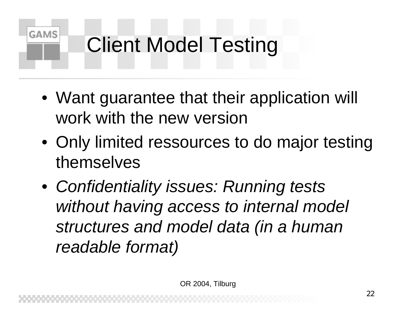- Want guarantee that their application will work with the new version
- Only limited ressources to do major testing themselves
- *Confidentiality issues: Running tests without having access to internal model structures and model data (in a human readable format)*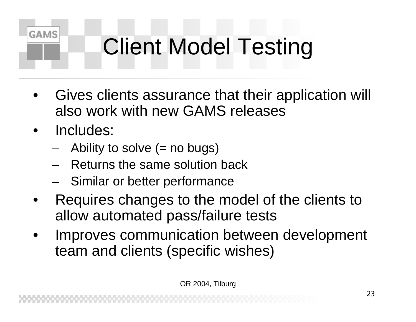- • Gives clients assurance that their application will also work with new GAMS releases
- •Includes:

- –Ability to solve (= no bugs)
- –Returns the same solution back
- –Similar or better performance
- • Requires changes to the model of the clients to allow automated pass/failure tests
- • Improves communication between development team and clients (specific wishes)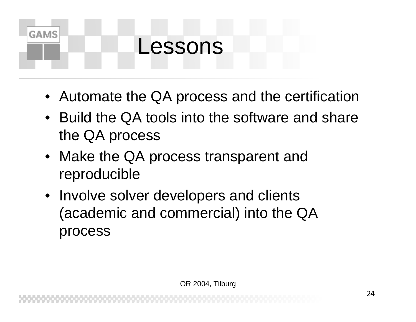### Lessons

- Automate the QA process and the certification
- Build the QA tools into the software and share the QA process
- Make the QA process transparent and reproducible
- Involve solver developers and clients (academic and commercial) into the QA process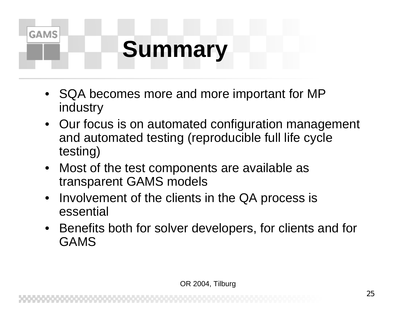## **Summary**

- SQA becomes more and more important for MP industry
- Our focus is on automated configuration management and automated testing (reproducible full life cycle testing)
- • Most of the test components are available as transparent GAMS models
- Involvement of the clients in the QA process is essential
- • Benefits both for solver developers, for clients and for GAMS